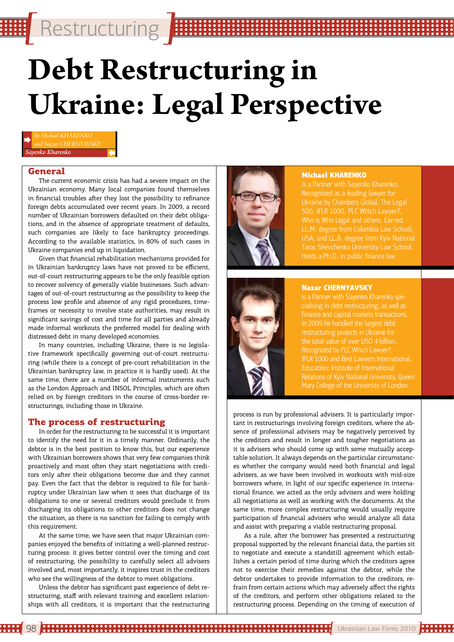Restructuring

# **Debt Restructuring in Ukraine: Legal Perspective**

*Sayenko Kharenko*

#### General

The current economic crisis has had a severe impact on the Ukrainian economy. Many local companies found themselves in financial troubles after they lost the possibility to refinance foreign debts accumulated over recent years. In 2009, a record number of Ukrainian borrowers defaulted on their debt obligations, and in the absence of appropriate treatment of defaults, such companies are likely to face bankruptcy proceedings. According to the available statistics, in 80% of such cases in Ukraine companies end up in liquidation.

Given that financial rehabilitation mechanisms provided for in Ukrainian bankruptcy laws have not proved to be efficient, out-of-court restructuring appears to be the only feasible option to recover solvency of generally viable businesses. Such advantages of out-of-court restructuring as the possibility to keep the process low profile and absence of any rigid procedures, timeframes or necessity to involve state authorities, may result in significant savings of cost and time for all parties and already made informal workouts the preferred model for dealing with distressed debt in many developed economies.

In many countries, including Ukraine, there is no legislative framework specifically governing out-of-court restructuring (while there is a concept of pre-court rehabilitation in the Ukrainian bankruptcy law, in practice it is hardly used). At the same time, there are a number of informal instruments such as the London Approach and INSOL Principles, which are often relied on by foreign creditors in the course of cross-border restructurings, including those in Ukraine.

#### The process of restructuring

In order for the restructuring to be successful it is important to identify the need for it in a timely manner. Ordinarily, the debtor is in the best position to know this, but our experience with Ukrainian borrowers shows that very few companies think proactively and most often they start negotiations with creditors only after their obligations become due and they cannot pay. Even the fact that the debtor is required to file for bankruptcy under Ukrainian law when it sees that discharge of its obligations to one or several creditors would preclude it from discharging its obligations to other creditors does not change the situation, as there is no sanction for failing to comply with this requirement.

At the same time, we have seen that major Ukrainian companies enjoyed the benefits of initiating a well-planned restructuring process: it gives better control over the timing and cost of restructuring, the possibility to carefully select all advisers involved and, most importantly, it inspires trust in the creditors who see the willingness of the debtor to meet obligations.

Unless the debtor has significant past experience of debt restructuring, staff with relevant training and excellent relationships with all creditors, it is important that the restructuring



#### **Michael KHARENKO**

Who is Who Legal and others. Earned LL.M. degree from Columbia Law School, USA, and LL.B. degree from Kyiv National Taras Shevchenko University Law School. Holds a Ph.D. in public finance law



#### **Nazar CHERNYAVSKY**

is a Partner with Sayenko Kharenko specialising in debt restructuring, as well as restructuring projects in Ukraine for the total value of over USD 4 billion. Recognized by PLC Which Lawyer?, IFLR 1000 and Best Lawyers International. Education: Institute of International

process is run by professional advisers. It is particularly important in restructurings involving foreign creditors, where the absence of professional advisers may be negatively perceived by the creditors and result in longer and tougher negotiations as it is advisers who should come up with some mutually acceptable solution. It always depends on the particular circumstances whether the company would need both financial and legal advisers, as we have been involved in workouts with mid-size borrowers where, in light of our specific experience in international finance, we acted as the only advisers and were holding all negotiations as well as working with the documents. At the same time, more complex restructuring would usually require participation of financial advisers who would analyze all data and assist with preparing a viable restructuring proposal.

As a rule, after the borrower has presented a restructuring proposal supported by the relevant financial data, the parties sit to negotiate and execute a standstill agreement which establishes a certain period of time during which the creditors agree not to exercise their remedies against the debtor, while the debtor undertakes to provide information to the creditors, refrain from certain actions which may adversely affect the rights of the creditors, and perform other obligations related to the restructuring process. Depending on the timing of execution of